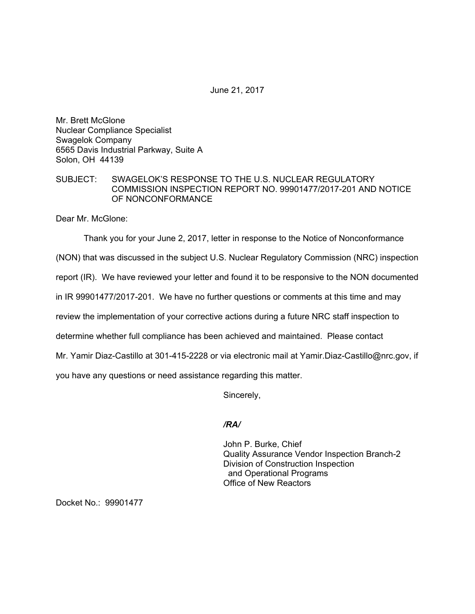June 21, 2017

Mr. Brett McGlone Nuclear Compliance Specialist Swagelok Company 6565 Davis Industrial Parkway, Suite A Solon, OH 44139

## SUBJECT: SWAGELOK'S RESPONSE TO THE U.S. NUCLEAR REGULATORY COMMISSION INSPECTION REPORT NO. 99901477/2017-201 AND NOTICE OF NONCONFORMANCE

Dear Mr. McGlone:

Thank you for your June 2, 2017, letter in response to the Notice of Nonconformance

(NON) that was discussed in the subject U.S. Nuclear Regulatory Commission (NRC) inspection

report (IR). We have reviewed your letter and found it to be responsive to the NON documented

in IR 99901477/2017-201. We have no further questions or comments at this time and may

review the implementation of your corrective actions during a future NRC staff inspection to

determine whether full compliance has been achieved and maintained. Please contact

Mr. Yamir Diaz-Castillo at 301-415-2228 or via electronic mail at Yamir.Diaz-Castillo@nrc.gov, if

you have any questions or need assistance regarding this matter.

Sincerely,

## */RA/*

John P. Burke, Chief Quality Assurance Vendor Inspection Branch-2 Division of Construction Inspection and Operational Programs Office of New Reactors

Docket No.: 99901477